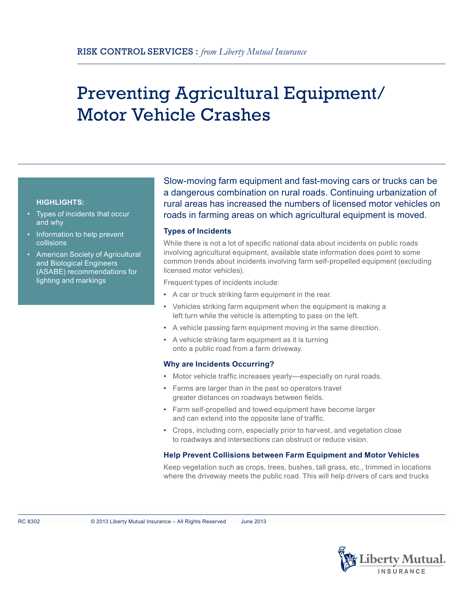# Preventing Agricultural Equipment/ Motor Vehicle Crashes

# **HIGHLIGHTS:**

- Types of incidents that occur and why
- Information to help prevent collisions
- American Society of Agricultural and Biological Engineers (ASABE) recommendations for lighting and markings

Slow-moving farm equipment and fast-moving cars or trucks can be a dangerous combination on rural roads. Continuing urbanization of rural areas has increased the numbers of licensed motor vehicles on roads in farming areas on which agricultural equipment is moved.

## **Types of Incidents**

While there is not a lot of specific national data about incidents on public roads involving agricultural equipment, available state information does point to some common trends about incidents involving farm self-propelled equipment (excluding licensed motor vehicles).

Frequent types of incidents include:

- A car or truck striking farm equipment in the rear.
- Vehicles striking farm equipment when the equipment is making a left turn while the vehicle is attempting to pass on the left.
- A vehicle passing farm equipment moving in the same direction.
- A vehicle striking farm equipment as it is turning onto a public road from a farm driveway.

### **Why are Incidents Occurring?**

- Motor vehicle traffic increases yearly—especially on rural roads.
- Farms are larger than in the past so operators travel greater distances on roadways between fields.
- Farm self-propelled and towed equipment have become larger and can extend into the opposite lane of traffic.
- Crops, including corn, especially prior to harvest, and vegetation close to roadways and intersections can obstruct or reduce vision.

# **Help Prevent Collisions between Farm Equipment and Motor Vehicles**

Keep vegetation such as crops, trees, bushes, tall grass, etc., trimmed in locations where the driveway meets the public road. This will help drivers of cars and trucks

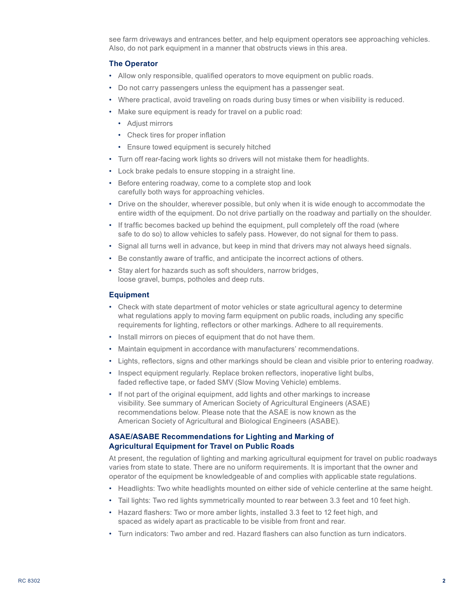see farm driveways and entrances better, and help equipment operators see approaching vehicles. Also, do not park equipment in a manner that obstructs views in this area.

### **The Operator**

- Allow only responsible, qualified operators to move equipment on public roads.
- Do not carry passengers unless the equipment has a passenger seat.
- Where practical, avoid traveling on roads during busy times or when visibility is reduced.
- Make sure equipment is ready for travel on a public road:
	- Adjust mirrors
	- Check tires for proper inflation
	- Ensure towed equipment is securely hitched
- Turn off rear-facing work lights so drivers will not mistake them for headlights.
- Lock brake pedals to ensure stopping in a straight line.
- Before entering roadway, come to a complete stop and look carefully both ways for approaching vehicles.
- Drive on the shoulder, wherever possible, but only when it is wide enough to accommodate the entire width of the equipment. Do not drive partially on the roadway and partially on the shoulder.
- If traffic becomes backed up behind the equipment, pull completely off the road (where safe to do so) to allow vehicles to safely pass. However, do not signal for them to pass.
- Signal all turns well in advance, but keep in mind that drivers may not always heed signals.
- Be constantly aware of traffic, and anticipate the incorrect actions of others.
- Stay alert for hazards such as soft shoulders, narrow bridges, loose gravel, bumps, potholes and deep ruts.

### **Equipment**

- Check with state department of motor vehicles or state agricultural agency to determine what regulations apply to moving farm equipment on public roads, including any specific requirements for lighting, reflectors or other markings. Adhere to all requirements.
- Install mirrors on pieces of equipment that do not have them.
- Maintain equipment in accordance with manufacturers' recommendations.
- Lights, reflectors, signs and other markings should be clean and visible prior to entering roadway.
- Inspect equipment regularly. Replace broken reflectors, inoperative light bulbs, faded reflective tape, or faded SMV (Slow Moving Vehicle) emblems.
- If not part of the original equipment, add lights and other markings to increase visibility. See summary of American Society of Agricultural Engineers (ASAE) recommendations below. Please note that the ASAE is now known as the American Society of Agricultural and Biological Engineers (ASABE).

# **ASAE/ASABE Recommendations for Lighting and Marking of Agricultural Equipment for Travel on Public Roads**

At present, the regulation of lighting and marking agricultural equipment for travel on public roadways varies from state to state. There are no uniform requirements. It is important that the owner and operator of the equipment be knowledgeable of and complies with applicable state regulations.

- Headlights: Two white headlights mounted on either side of vehicle centerline at the same height.
- Tail lights: Two red lights symmetrically mounted to rear between 3.3 feet and 10 feet high.
- Hazard flashers: Two or more amber lights, installed 3.3 feet to 12 feet high, and spaced as widely apart as practicable to be visible from front and rear.
- Turn indicators: Two amber and red. Hazard flashers can also function as turn indicators.